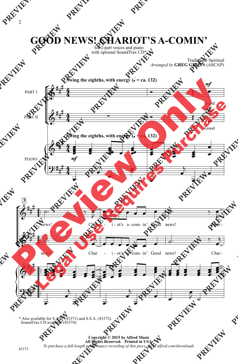## **GOOD NEWS! CHARIOT'S A-COMIN'**

for 2-part voices and piano with optional SoundTrax CD\*

> Traditional Spiritual *Arranged by* **GREG GILPIN** (ASCAP)



\* Also available for S.A.B. (43371) and S.S.A. (43372). SoundTrax CD available (43374).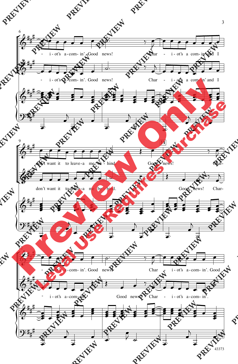

43373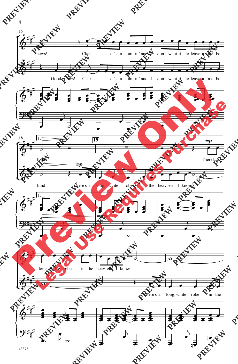

43373

4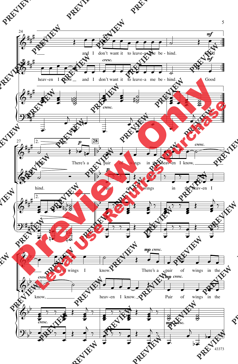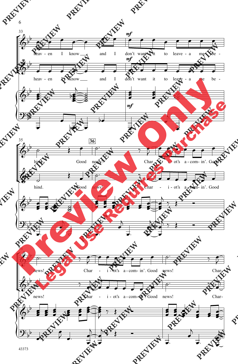